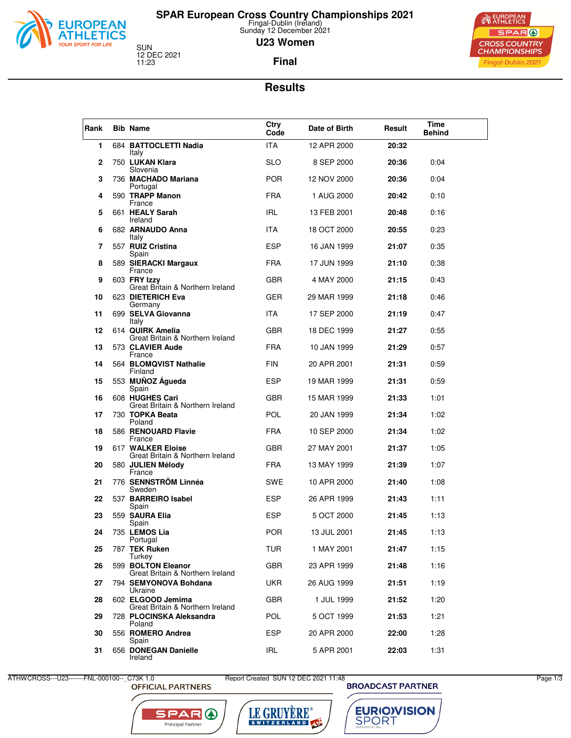

## **SPAR European Cross Country Championships 2021** Fingal-Dublin (Ireland) Sunday 12 December 2021

**U23 Women**

SUN<br>12 DEC 2021<br>11:23

**Final**



#### **Results**

| Rank | <b>Bib Name</b>                                        | Ctry<br>Code | Date of Birth | Result | Time<br><b>Behind</b> |  |
|------|--------------------------------------------------------|--------------|---------------|--------|-----------------------|--|
| 1    | 684 BATTOCLETTI Nadia<br>Italy                         | ITA.         | 12 APR 2000   | 20:32  |                       |  |
| 2    | 750 LUKAN Klara<br>Slovenia                            | <b>SLO</b>   | 8 SEP 2000    | 20:36  | 0:04                  |  |
| 3    | 736 MACHADO Mariana<br>Portugal                        | <b>POR</b>   | 12 NOV 2000   | 20:36  | 0:04                  |  |
| 4    | 590 TRAPP Manon<br>France                              | <b>FRA</b>   | 1 AUG 2000    | 20:42  | 0:10                  |  |
| 5    | 661 HEALY Sarah<br>Ireland                             | IRL.         | 13 FEB 2001   | 20:48  | 0:16                  |  |
| 6    | 682 ARNAUDO Anna<br>Italy                              | <b>ITA</b>   | 18 OCT 2000   | 20:55  | 0:23                  |  |
| 7    | 557 RUIZ Cristina<br>Spain                             | <b>ESP</b>   | 16 JAN 1999   | 21:07  | 0:35                  |  |
| 8    | 589 SIERACKI Margaux<br>France                         | <b>FRA</b>   | 17 JUN 1999   | 21:10  | 0:38                  |  |
| 9    | 603 FRY Izzy<br>Great Britain & Northern Ireland       | <b>GBR</b>   | 4 MAY 2000    | 21:15  | 0:43                  |  |
| 10   | 623 DIETERICH Eva<br>Germany                           | <b>GER</b>   | 29 MAR 1999   | 21:18  | 0:46                  |  |
| 11   | 699 SELVA Giovanna<br>Italy                            | ITA.         | 17 SEP 2000   | 21:19  | 0:47                  |  |
| 12   | 614 QUIRK Amelia<br>Great Britain & Northern Ireland   | <b>GBR</b>   | 18 DEC 1999   | 21:27  | 0:55                  |  |
| 13   | 573 CLAVIER Aude<br>France                             | <b>FRA</b>   | 10 JAN 1999   | 21:29  | 0:57                  |  |
| 14   | 564 BLOMQVIST Nathalie<br>Finland                      | <b>FIN</b>   | 20 APR 2001   | 21:31  | 0:59                  |  |
| 15   | 553 MUÑOZ Águeda<br>Spain                              | <b>ESP</b>   | 19 MAR 1999   | 21:31  | 0:59                  |  |
| 16   | 608 HUGHES Cari<br>Great Britain & Northern Ireland    | <b>GBR</b>   | 15 MAR 1999   | 21:33  | 1:01                  |  |
| 17   | 730 TOPKA Beata<br>Poland                              | POL          | 20 JAN 1999   | 21:34  | 1:02                  |  |
| 18   | 586 RENOUARD Flavie<br>France                          | <b>FRA</b>   | 10 SEP 2000   | 21:34  | 1:02                  |  |
| 19   | 617 WALKER Eloise<br>Great Britain & Northern Ireland  | <b>GBR</b>   | 27 MAY 2001   | 21:37  | 1:05                  |  |
| 20   | 580 JULIEN Mélody<br>France                            | <b>FRA</b>   | 13 MAY 1999   | 21:39  | 1:07                  |  |
| 21   | 776 SENNSTRÖM Linnéa<br>Sweden                         | SWE          | 10 APR 2000   | 21:40  | 1:08                  |  |
| 22   | 537 BARREIRO Isabel<br>Spain                           | ESP          | 26 APR 1999   | 21:43  | 1:11                  |  |
| 23   | 559 SAURA Elia<br>Spain                                | <b>ESP</b>   | 5 OCT 2000    | 21:45  | 1:13                  |  |
| 24   | 735 <b>LEMOS Lia</b><br>Portugal                       | <b>POR</b>   | 13 JUL 2001   | 21:45  | 1:13                  |  |
| 25   | 787 TEK Ruken<br>Turkey                                | TUR.         | 1 MAY 2001    | 21:47  | 1:15                  |  |
| 26   | 599 BOLTON Eleanor<br>Great Britain & Northern Ireland | GBR          | 23 APR 1999   | 21:48  | 1:16                  |  |
| 27   | 794 SEMYONOVA Bohdana<br>Ukraine                       | UKR          | 26 AUG 1999   | 21:51  | 1:19                  |  |
| 28   | 602 ELGOOD Jemima<br>Great Britain & Northern Ireland  | GBR          | 1 JUL 1999    | 21:52  | 1:20                  |  |
| 29   | 728 PLOCINSKA Aleksandra<br>Poland                     | <b>POL</b>   | 5 OCT 1999    | 21:53  | 1:21                  |  |
| 30   | 556 ROMERO Andrea<br>Spain                             | <b>ESP</b>   | 20 APR 2000   | 22:00  | 1:28                  |  |
| 31   | 656 DONEGAN Danielle<br>Ireland                        | IRL.         | 5 APR 2001    | 22:03  | 1:31                  |  |

ATHWCROSS---U23-------FNL-000100--\_C73K 1.0 Report Created SUN 12 DEC 2021 11:48<br>OFFICIAL PARTNERS BROADCAST PARTNER





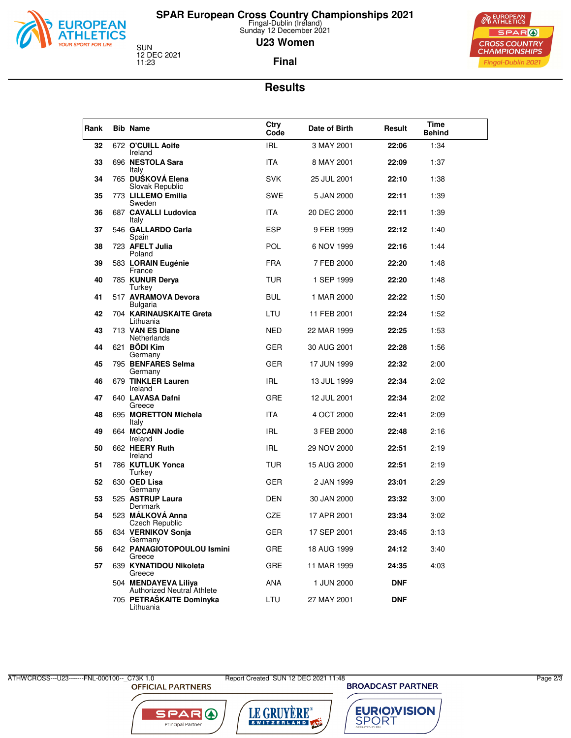

## **SPAR European Cross Country Championships 2021** Fingal-Dublin (Ireland) Sunday 12 December 2021

**U23 Women**

SUN<br>12 DEC 2021<br>11:23

**Final**



### **Results**

| Rank | <b>Bib Name</b>                                    | Ctry<br>Code | Date of Birth | Result     | Time<br><b>Behind</b> |
|------|----------------------------------------------------|--------------|---------------|------------|-----------------------|
| 32   | 672 O'CUILL Aoife                                  | IRL          | 3 MAY 2001    | 22:06      | 1:34                  |
| 33   | Ireland<br>696 NESTOLA Sara<br>Italy               | <b>ITA</b>   | 8 MAY 2001    | 22:09      | 1:37                  |
| 34   | 765 DUŠKOVÁ Elena<br>Slovak Republic               | <b>SVK</b>   | 25 JUL 2001   | 22:10      | 1:38                  |
| 35   | 773 LILLEMO Emilia<br>Sweden                       | <b>SWE</b>   | 5 JAN 2000    | 22:11      | 1:39                  |
| 36   | 687 CAVALLI Ludovica<br>Italy                      | ITA.         | 20 DEC 2000   | 22:11      | 1:39                  |
| 37   | 546 GALLARDO Carla<br>Spain                        | <b>ESP</b>   | 9 FEB 1999    | 22:12      | 1:40                  |
| 38   | 723 AFELT Julia<br>Poland                          | <b>POL</b>   | 6 NOV 1999    | 22:16      | 1:44                  |
| 39   | 583 LORAIN Eugénie<br>France                       | <b>FRA</b>   | 7 FEB 2000    | 22:20      | 1:48                  |
| 40   | 785 KUNUR Derya<br>Turkey                          | TUR          | 1 SEP 1999    | 22:20      | 1:48                  |
| 41   | 517 AVRAMOVA Devora<br>Bulgaria                    | <b>BUL</b>   | 1 MAR 2000    | 22:22      | 1:50                  |
| 42   | 704 KARINAUSKAITE Greta<br>Lithuania               | LTU          | 11 FEB 2001   | 22:24      | 1:52                  |
| 43   | 713 VAN ES Diane<br>Netherlands                    | NED          | 22 MAR 1999   | 22:25      | 1:53                  |
| 44   | 621 BÖDI Kim<br>Germany                            | GER          | 30 AUG 2001   | 22:28      | 1:56                  |
| 45   | 795 BENFARES Selma<br>Germany                      | GER          | 17 JUN 1999   | 22:32      | 2:00                  |
| 46   | 679 TINKLER Lauren<br>Ireland                      | <b>IRL</b>   | 13 JUL 1999   | 22:34      | 2:02                  |
| 47   | 640 LAVASA Dafni<br>Greece                         | <b>GRE</b>   | 12 JUL 2001   | 22:34      | 2:02                  |
| 48   | 695 MORETTON Michela<br>Italy                      | <b>ITA</b>   | 4 OCT 2000    | 22:41      | 2:09                  |
| 49   | 664 MCCANN Jodie<br>Ireland                        | IRL          | 3 FEB 2000    | 22:48      | 2:16                  |
| 50   | 662 HEERY Ruth<br>Ireland                          | IRL          | 29 NOV 2000   | 22:51      | 2:19                  |
| 51   | 786 KUTLUK Yonca<br>Turkey                         | TUR          | 15 AUG 2000   | 22:51      | 2:19                  |
| 52   | 630 OED Lisa<br>Germany                            | GER          | 2 JAN 1999    | 23:01      | 2:29                  |
| 53   | 525 ASTRUP Laura<br>Denmark                        | DEN          | 30 JAN 2000   | 23:32      | 3:00                  |
| 54   | 523 MÁLKOVÁ Anna<br>Czech Republic                 | CZE          | 17 APR 2001   | 23:34      | 3:02                  |
| 55   | 634 VERNIKOV Sonja<br>Germany                      | GER          | 17 SEP 2001   | 23:45      | 3:13                  |
| 56   | 642 PANAGIOTOPOULOU Ismini<br>Greece               | <b>GRE</b>   | 18 AUG 1999   | 24:12      | 3:40                  |
| 57   | 639 KYNATIDOU Nikoleta<br>Greece                   | GRE          | 11 MAR 1999   | 24:35      | 4:03                  |
|      | 504 MENDAYEVA Liliya<br>Authorized Neutral Athlete | ANA          | 1 JUN 2000    | <b>DNF</b> |                       |
|      | 705 PETRAŠKAITE Dominyka<br>Lithuania              | LTU          | 27 MAY 2001   | <b>DNF</b> |                       |

ATHWCROSS---U23-------FNL-000100--\_C73K 1.0 Report Created SUN 12 DEC 2021 11:48<br>OFFICIAL PARTNERS BROADCAST PARTNER